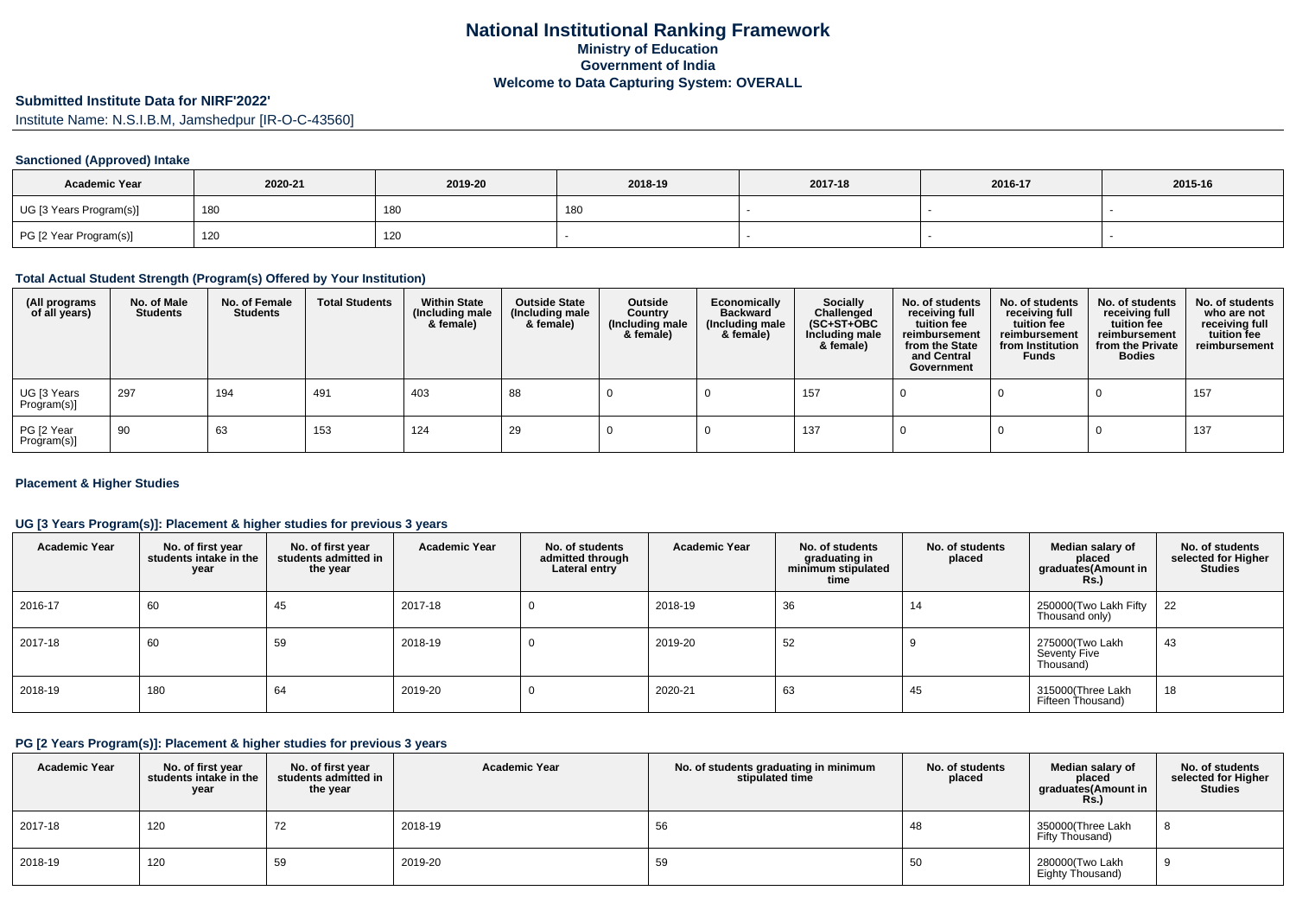# **Submitted Institute Data for NIRF'2022'**

Institute Name: N.S.I.B.M, Jamshedpur [IR-O-C-43560]

### **Sanctioned (Approved) Intake**

| <b>Academic Year</b>    | 2020-21 | 2019-20 | 2018-19 | 2017-18 | 2016-17 | 2015-16 |
|-------------------------|---------|---------|---------|---------|---------|---------|
| UG [3 Years Program(s)] | 180     | 180     | 18C     |         |         |         |
| PG [2 Year Program(s)]  | 120     | 120     |         |         |         |         |

#### **Total Actual Student Strength (Program(s) Offered by Your Institution)**

| (All programs<br>of all years) | No. of Male<br><b>Students</b> | No. of Female<br><b>Students</b> | <b>Total Students</b> | <b>Within State</b><br>(Including male<br>& female) | <b>Outside State</b><br>(Including male<br>& female) | Outside<br>Country<br>(Including male<br>& female) | Economically<br><b>Backward</b><br>(Including male<br>& female) | <b>Socially</b><br>Challenged<br>$(SC+ST+OBC)$<br>Including male<br>& female) | No. of students<br>receiving full<br>tuition fee<br>reimbursement<br>from the State<br>and Central<br>Government | No. of students<br>receiving full<br>tuition fee<br>reimbursement<br>from Institution<br><b>Funds</b> | No. of students<br>receiving full<br>tuition fee<br>reimbursement<br>from the Private<br><b>Bodies</b> | No. of students<br>who are not<br>receiving full<br>tuition fee<br>reimbursement |
|--------------------------------|--------------------------------|----------------------------------|-----------------------|-----------------------------------------------------|------------------------------------------------------|----------------------------------------------------|-----------------------------------------------------------------|-------------------------------------------------------------------------------|------------------------------------------------------------------------------------------------------------------|-------------------------------------------------------------------------------------------------------|--------------------------------------------------------------------------------------------------------|----------------------------------------------------------------------------------|
| UG [3 Years<br>Program(s)]     | 297                            | 194                              | 491                   | 403                                                 | 88                                                   |                                                    |                                                                 | 157                                                                           |                                                                                                                  |                                                                                                       |                                                                                                        | 157                                                                              |
| PG [2 Year<br>Program(s)]      | 90                             | 63                               | 153                   | 124                                                 | 29                                                   |                                                    |                                                                 | 137                                                                           |                                                                                                                  |                                                                                                       |                                                                                                        | 137                                                                              |

### **Placement & Higher Studies**

### **UG [3 Years Program(s)]: Placement & higher studies for previous 3 years**

| <b>Academic Year</b> | No. of first year<br>students intake in the<br>year | No. of first vear<br>students admitted in<br>the year | <b>Academic Year</b> | No. of students<br>admitted through<br>Lateral entry | <b>Academic Year</b> | No. of students<br>graduating in<br>minimum stipulated<br>time | No. of students<br>placed | Median salary of<br>placed<br>graduates(Amount in<br><b>Rs.</b> ) | No. of students<br>selected for Higher<br><b>Studies</b> |
|----------------------|-----------------------------------------------------|-------------------------------------------------------|----------------------|------------------------------------------------------|----------------------|----------------------------------------------------------------|---------------------------|-------------------------------------------------------------------|----------------------------------------------------------|
| 2016-17              | 60                                                  | 45                                                    | 2017-18              | U                                                    | 2018-19              | 36                                                             | 14                        | 250000(Two Lakh Fifty<br>Thousand only)                           | 22                                                       |
| 2017-18              | 60                                                  | 59                                                    | 2018-19              | 0                                                    | 2019-20              | 52                                                             |                           | 275000(Two Lakh<br><b>Seventy Five</b><br>Thousand)               | 43                                                       |
| 2018-19              | 180                                                 | 64                                                    | 2019-20              | U                                                    | 2020-21              | 63                                                             | 45                        | 315000(Three Lakh<br>Fifteen Thousand)                            | 18                                                       |

#### **PG [2 Years Program(s)]: Placement & higher studies for previous 3 years**

| <b>Academic Year</b> | No. of first year<br>students intake in the<br>year | No. of first year<br>students admitted in<br>the year | <b>Academic Year</b> | No. of students graduating in minimum<br>stipulated time | No. of students<br>placed | Median salary of<br>placed<br>graduates(Amount in<br>Rs. | No. of students<br>selected for Higher<br><b>Studies</b> |
|----------------------|-----------------------------------------------------|-------------------------------------------------------|----------------------|----------------------------------------------------------|---------------------------|----------------------------------------------------------|----------------------------------------------------------|
| 2017-18              | 120                                                 | 72                                                    | 2018-19              | 56                                                       | 48                        | 350000(Three Lakh<br>Fifty Thousand)                     |                                                          |
| 2018-19              | 120                                                 | 59                                                    | 2019-20              | 59                                                       | 50                        | 280000(Two Lakh<br>Eighty Thousand)                      |                                                          |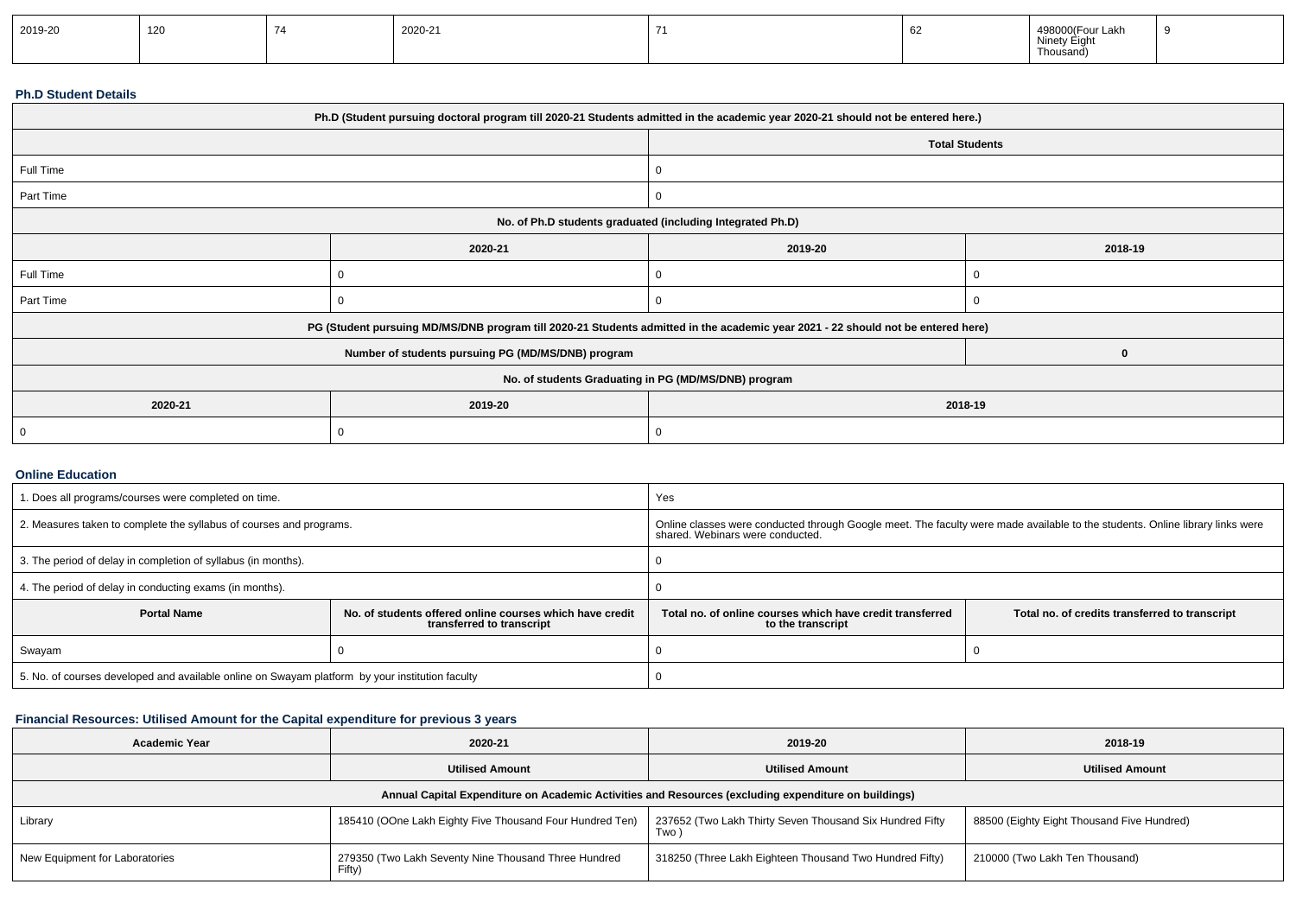| 2019-20 | 120 |  | 2020-21 |  |  | $\sim$<br>ுur Lakn<br>Ninety<br>Liui<br>Thousand, | - 0 |
|---------|-----|--|---------|--|--|---------------------------------------------------|-----|
|---------|-----|--|---------|--|--|---------------------------------------------------|-----|

#### **Ph.D Student Details**

| Ph.D (Student pursuing doctoral program till 2020-21 Students admitted in the academic year 2020-21 should not be entered here.) |                                                                                                                                  |         |                       |  |  |
|----------------------------------------------------------------------------------------------------------------------------------|----------------------------------------------------------------------------------------------------------------------------------|---------|-----------------------|--|--|
|                                                                                                                                  |                                                                                                                                  |         | <b>Total Students</b> |  |  |
| Full Time                                                                                                                        |                                                                                                                                  | 0       |                       |  |  |
| Part Time                                                                                                                        |                                                                                                                                  | 0       |                       |  |  |
| No. of Ph.D students graduated (including Integrated Ph.D)                                                                       |                                                                                                                                  |         |                       |  |  |
|                                                                                                                                  | 2020-21                                                                                                                          | 2019-20 | 2018-19               |  |  |
| Full Time                                                                                                                        |                                                                                                                                  | υ       |                       |  |  |
| Part Time                                                                                                                        |                                                                                                                                  | 0       |                       |  |  |
|                                                                                                                                  | PG (Student pursuing MD/MS/DNB program till 2020-21 Students admitted in the academic year 2021 - 22 should not be entered here) |         |                       |  |  |
|                                                                                                                                  | Number of students pursuing PG (MD/MS/DNB) program                                                                               |         | $\bf{0}$              |  |  |
| No. of students Graduating in PG (MD/MS/DNB) program                                                                             |                                                                                                                                  |         |                       |  |  |
| 2020-21                                                                                                                          | 2019-20<br>2018-19                                                                                                               |         |                       |  |  |
| 0                                                                                                                                |                                                                                                                                  |         |                       |  |  |

#### **Online Education**

| 1. Does all programs/courses were completed on time.                                                        |  | Yes                                                                                                                                                               |  |  |  |
|-------------------------------------------------------------------------------------------------------------|--|-------------------------------------------------------------------------------------------------------------------------------------------------------------------|--|--|--|
| 2. Measures taken to complete the syllabus of courses and programs.                                         |  | Online classes were conducted through Google meet. The faculty were made available to the students. Online library links were<br>shared. Webinars were conducted. |  |  |  |
| 3. The period of delay in completion of syllabus (in months).                                               |  |                                                                                                                                                                   |  |  |  |
| 4. The period of delay in conducting exams (in months).                                                     |  |                                                                                                                                                                   |  |  |  |
| <b>Portal Name</b><br>No. of students offered online courses which have credit<br>transferred to transcript |  | Total no, of online courses which have credit transferred<br>Total no. of credits transferred to transcript<br>to the transcript                                  |  |  |  |
| Swayam                                                                                                      |  |                                                                                                                                                                   |  |  |  |
| 5. No. of courses developed and available online on Swayam platform by your institution faculty             |  |                                                                                                                                                                   |  |  |  |

## **Financial Resources: Utilised Amount for the Capital expenditure for previous 3 years**

| <b>Academic Year</b>                                                                                 | 2020-21                                                        | 2019-20                                                          | 2018-19                                    |  |  |  |  |  |  |
|------------------------------------------------------------------------------------------------------|----------------------------------------------------------------|------------------------------------------------------------------|--------------------------------------------|--|--|--|--|--|--|
|                                                                                                      | <b>Utilised Amount</b>                                         | <b>Utilised Amount</b>                                           | <b>Utilised Amount</b>                     |  |  |  |  |  |  |
| Annual Capital Expenditure on Academic Activities and Resources (excluding expenditure on buildings) |                                                                |                                                                  |                                            |  |  |  |  |  |  |
| Library                                                                                              | 185410 (OOne Lakh Eighty Five Thousand Four Hundred Ten)       | 237652 (Two Lakh Thirty Seven Thousand Six Hundred Fifty<br>Two. | 88500 (Eighty Eight Thousand Five Hundred) |  |  |  |  |  |  |
| New Equipment for Laboratories                                                                       | 279350 (Two Lakh Seventy Nine Thousand Three Hundred<br>Fifty) | 318250 (Three Lakh Eighteen Thousand Two Hundred Fifty)          | 210000 (Two Lakh Ten Thousand)             |  |  |  |  |  |  |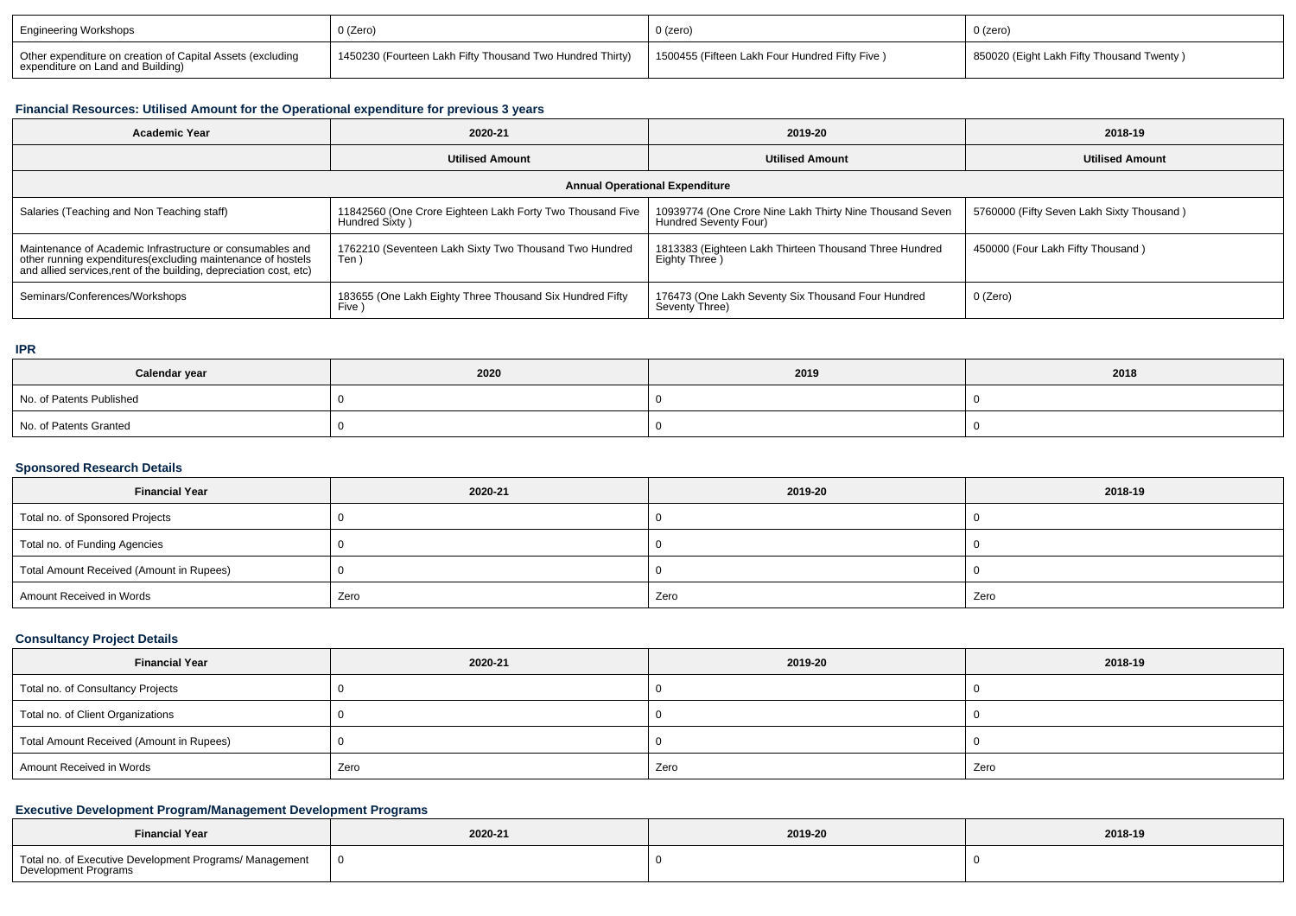| <b>Engineering Workshops</b>                                                                    | 0 (Zero)                                                  | $0$ (zero)                                     | 0 (zero)                                   |
|-------------------------------------------------------------------------------------------------|-----------------------------------------------------------|------------------------------------------------|--------------------------------------------|
| Other expenditure on creation of Capital Assets (excluding<br>expenditure on Land and Building) | 1450230 (Fourteen Lakh Fifty Thousand Two Hundred Thirty) | 1500455 (Fifteen Lakh Four Hundred Fifty Five) | 1850020 (Eight Lakh Fifty Thousand Twenty) |

### **Financial Resources: Utilised Amount for the Operational expenditure for previous 3 years**

| <b>Academic Year</b>                                                                                                                                                                           | 2020-21                                                                     | 2019-20                                                                           | 2018-19                                   |  |  |  |  |  |
|------------------------------------------------------------------------------------------------------------------------------------------------------------------------------------------------|-----------------------------------------------------------------------------|-----------------------------------------------------------------------------------|-------------------------------------------|--|--|--|--|--|
|                                                                                                                                                                                                | <b>Utilised Amount</b>                                                      | <b>Utilised Amount</b>                                                            | <b>Utilised Amount</b>                    |  |  |  |  |  |
| <b>Annual Operational Expenditure</b>                                                                                                                                                          |                                                                             |                                                                                   |                                           |  |  |  |  |  |
| Salaries (Teaching and Non Teaching staff)                                                                                                                                                     | 11842560 (One Crore Eighteen Lakh Forty Two Thousand Five<br>Hundred Sixty) | 10939774 (One Crore Nine Lakh Thirty Nine Thousand Seven<br>Hundred Seventy Four) | 5760000 (Fifty Seven Lakh Sixty Thousand) |  |  |  |  |  |
| Maintenance of Academic Infrastructure or consumables and<br>other running expenditures(excluding maintenance of hostels<br>and allied services, rent of the building, depreciation cost, etc) | 1762210 (Seventeen Lakh Sixty Two Thousand Two Hundred<br>Ten)              | 1813383 (Eighteen Lakh Thirteen Thousand Three Hundred<br>Eighty Three )          | 450000 (Four Lakh Fifty Thousand)         |  |  |  |  |  |
| Seminars/Conferences/Workshops                                                                                                                                                                 | 183655 (One Lakh Eighty Three Thousand Six Hundred Fifty<br>Five )          | 176473 (One Lakh Seventy Six Thousand Four Hundred<br>Seventy Three)              | 0 (Zero)                                  |  |  |  |  |  |

**IPR**

| Calendar year            | 2020 | 2019 | 2018 |
|--------------------------|------|------|------|
| No. of Patents Published |      |      |      |
| No. of Patents Granted   |      |      |      |

## **Sponsored Research Details**

| <b>Financial Year</b>                    | 2020-21 | 2019-20 | 2018-19 |
|------------------------------------------|---------|---------|---------|
| Total no. of Sponsored Projects          |         |         |         |
| Total no. of Funding Agencies            |         |         |         |
| Total Amount Received (Amount in Rupees) |         |         |         |
| Amount Received in Words                 | Zero    | Zero    | Zero    |

## **Consultancy Project Details**

| <b>Financial Year</b>                    | 2020-21 | 2019-20 | 2018-19 |  |
|------------------------------------------|---------|---------|---------|--|
| Total no. of Consultancy Projects        |         |         |         |  |
| Total no. of Client Organizations        |         |         |         |  |
| Total Amount Received (Amount in Rupees) |         |         |         |  |
| Amount Received in Words                 | Zero    | Zero    | Zero    |  |

## **Executive Development Program/Management Development Programs**

| <b>Financial Year</b>                                                           | 2020-21 | 2019-20 | 2018-19 |  |
|---------------------------------------------------------------------------------|---------|---------|---------|--|
| Total no. of Executive Development Programs/ Management<br>Development Programs | - 0     |         |         |  |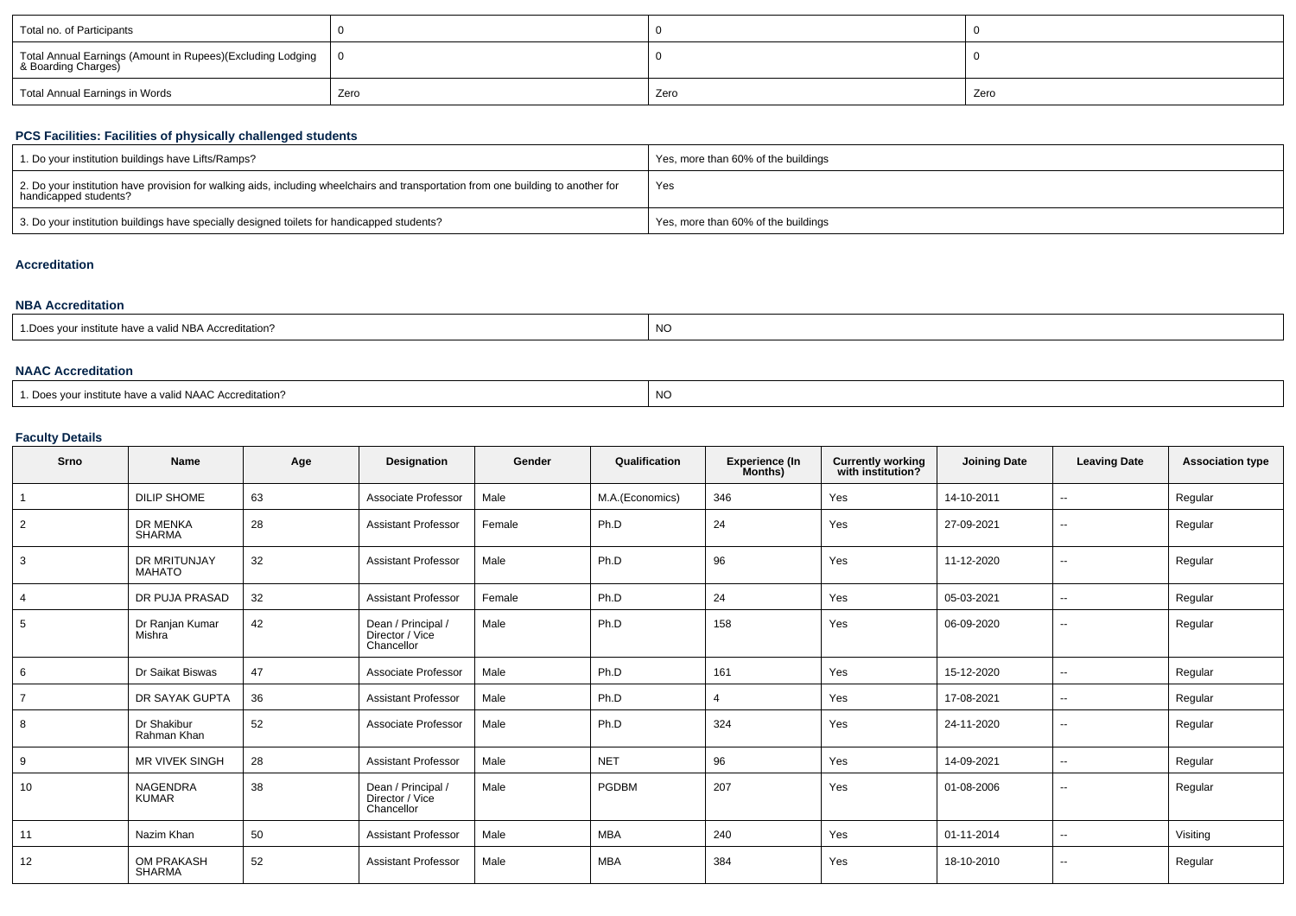| Total no. of Participants                                                           |      |      |      |
|-------------------------------------------------------------------------------------|------|------|------|
| Total Annual Earnings (Amount in Rupees)(Excluding Lodging  <br>& Boarding Charges) |      |      |      |
| Total Annual Earnings in Words                                                      | Zero | Zero | Zero |

# **PCS Facilities: Facilities of physically challenged students**

| 1. Do your institution buildings have Lifts/Ramps?                                                                                                         | Yes, more than 60% of the buildings |
|------------------------------------------------------------------------------------------------------------------------------------------------------------|-------------------------------------|
| 2. Do your institution have provision for walking aids, including wheelchairs and transportation from one building to another for<br>handicapped students? | Yes                                 |
| 3. Do your institution buildings have specially designed toilets for handicapped students?                                                                 | Yes, more than 60% of the buildings |

# **Accreditation**

| <b>NBA Accreditation</b>                               |           |  |  |  |  |  |
|--------------------------------------------------------|-----------|--|--|--|--|--|
| 1. Does your institute have a valid NBA Accreditation? | <b>NO</b> |  |  |  |  |  |

### **NAAC Accreditation**

| 1. Does your institute have a valid NAAC Accreditation? | <b>NO</b> |
|---------------------------------------------------------|-----------|
|---------------------------------------------------------|-----------|

## **Faculty Details**

| Srno           | <b>Name</b>                        | Age | <b>Designation</b>                                  | Gender | Qualification   | <b>Experience (In</b><br>Months) | <b>Currently working</b><br>with institution? | <b>Joining Date</b> | <b>Leaving Date</b> | <b>Association type</b> |
|----------------|------------------------------------|-----|-----------------------------------------------------|--------|-----------------|----------------------------------|-----------------------------------------------|---------------------|---------------------|-------------------------|
|                | <b>DILIP SHOME</b>                 | 63  | Associate Professor                                 | Male   | M.A.(Economics) | 346                              | Yes                                           | 14-10-2011          | $\sim$              | Regular                 |
| 2              | <b>DR MENKA</b><br><b>SHARMA</b>   | 28  | <b>Assistant Professor</b>                          | Female | Ph.D            | 24                               | Yes                                           | 27-09-2021          | $\sim$              | Regular                 |
| 3              | DR MRITUNJAY<br><b>MAHATO</b>      | 32  | <b>Assistant Professor</b>                          | Male   | Ph.D            | 96                               | Yes                                           | 11-12-2020          | $\sim$              | Regular                 |
|                | DR PUJA PRASAD                     | 32  | <b>Assistant Professor</b>                          | Female | Ph.D            | 24                               | Yes                                           | 05-03-2021          | $\sim$              | Regular                 |
| 5              | Dr Ranjan Kumar<br>Mishra          | 42  | Dean / Principal /<br>Director / Vice<br>Chancellor | Male   | Ph.D            | 158                              | Yes                                           | 06-09-2020          | $\sim$              | Regular                 |
| 6              | Dr Saikat Biswas                   | 47  | Associate Professor                                 | Male   | Ph.D            | 161                              | Yes                                           | 15-12-2020          | $\sim$              | Regular                 |
| $\overline{7}$ | DR SAYAK GUPTA                     | 36  | <b>Assistant Professor</b>                          | Male   | Ph.D            | $\overline{4}$                   | Yes                                           | 17-08-2021          | $\sim$              | Regular                 |
| 8              | Dr Shakibur<br>Rahman Khan         | 52  | Associate Professor                                 | Male   | Ph.D            | 324                              | Yes                                           | 24-11-2020          | $\sim$              | Regular                 |
| 9              | <b>MR VIVEK SINGH</b>              | 28  | <b>Assistant Professor</b>                          | Male   | <b>NET</b>      | 96                               | Yes                                           | 14-09-2021          | $\sim$              | Regular                 |
| 10             | <b>NAGENDRA</b><br><b>KUMAR</b>    | 38  | Dean / Principal /<br>Director / Vice<br>Chancellor | Male   | <b>PGDBM</b>    | 207                              | Yes                                           | 01-08-2006          | $\sim$              | Regular                 |
| 11             | Nazim Khan                         | 50  | <b>Assistant Professor</b>                          | Male   | <b>MBA</b>      | 240                              | Yes                                           | 01-11-2014          | $\sim$              | Visiting                |
| 12             | <b>OM PRAKASH</b><br><b>SHARMA</b> | 52  | <b>Assistant Professor</b>                          | Male   | <b>MBA</b>      | 384                              | Yes                                           | 18-10-2010          | $\sim$              | Regular                 |